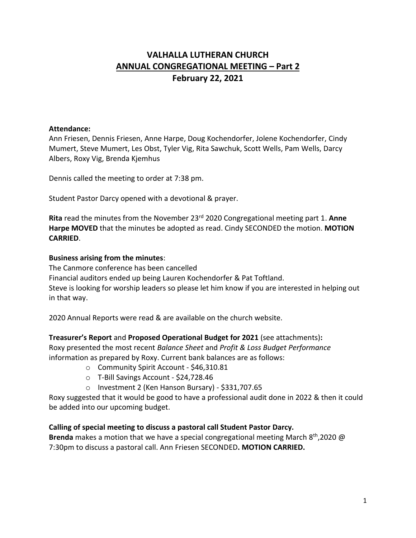# **VALHALLA LUTHERAN CHURCH ANNUAL CONGREGATIONAL MEETING – Part 2 February 22, 2021**

#### **Attendance:**

Ann Friesen, Dennis Friesen, Anne Harpe, Doug Kochendorfer, Jolene Kochendorfer, Cindy Mumert, Steve Mumert, Les Obst, Tyler Vig, Rita Sawchuk, Scott Wells, Pam Wells, Darcy Albers, Roxy Vig, Brenda Kjemhus

Dennis called the meeting to order at 7:38 pm.

Student Pastor Darcy opened with a devotional & prayer.

**Rita** read the minutes from the November 23rd 2020 Congregational meeting part 1. **Anne Harpe MOVED** that the minutes be adopted as read. Cindy SECONDED the motion. **MOTION CARRIED**.

## **Business arising from the minutes**:

The Canmore conference has been cancelled Financial auditors ended up being Lauren Kochendorfer & Pat Toftland. Steve is looking for worship leaders so please let him know if you are interested in helping out

in that way.

2020 Annual Reports were read & are available on the church website.

## **Treasurer's Report** and **Proposed Operational Budget for 2021** (see attachments)**:**

Roxy presented the most recent *Balance Sheet* and *Profit & Loss Budget Performance* information as prepared by Roxy. Current bank balances are as follows:

- o Community Spirit Account \$46,310.81
- o T-Bill Savings Account \$24,728.46
- o Investment 2 (Ken Hanson Bursary) \$331,707.65

Roxy suggested that it would be good to have a professional audit done in 2022 & then it could be added into our upcoming budget.

## **Calling of special meeting to discuss a pastoral call Student Pastor Darcy.**

**Brenda** makes a motion that we have a special congregational meeting March 8th,2020 @ 7:30pm to discuss a pastoral call. Ann Friesen SECONDED**. MOTION CARRIED.**